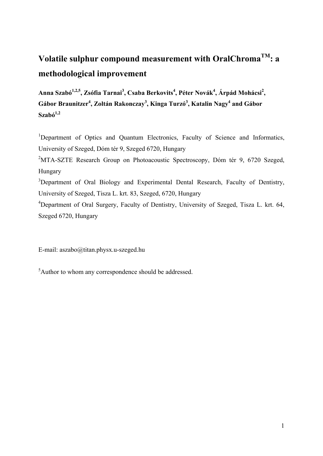# **Volatile sulphur compound measurement with OralChromaTM: a methodological improvement**

Anna Szabó<sup>1,2,5</sup>, Zsófia Tarnai<sup>3</sup>, Csaba Berkovits<sup>4</sup>, Péter Novák<sup>4</sup>, Árpád Mohácsi<sup>2</sup>, Gábor Braunitzer<sup>4</sup>, Zoltán Rakonczay<sup>3</sup>, Kinga Turzó<sup>3</sup>, Katalin Nagy<sup>4</sup> and Gábor  $Szab<sup>1,2</sup>$ 

<sup>1</sup>Department of Optics and Quantum Electronics, Faculty of Science and Informatics, University of Szeged, Dóm tér 9, Szeged 6720, Hungary

<sup>2</sup>MTA-SZTE Research Group on Photoacoustic Spectroscopy, Dóm tér 9, 6720 Szeged, Hungary

<sup>3</sup>Department of Oral Biology and Experimental Dental Research, Faculty of Dentistry, University of Szeged, Tisza L. krt. 83, Szeged, 6720, Hungary

<sup>4</sup>Department of Oral Surgery, Faculty of Dentistry, University of Szeged, Tisza L. krt. 64, Szeged 6720, Hungary

E-mail: aszabo@titan.physx.u-szeged.hu

<sup>5</sup>Author to whom any correspondence should be addressed.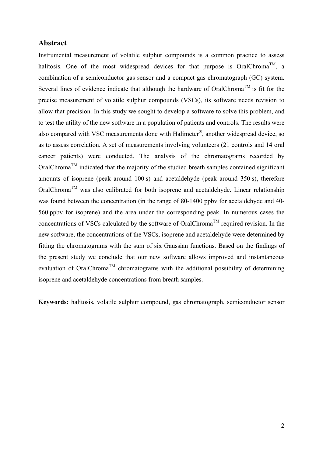## **Abstract**

Instrumental measurement of volatile sulphur compounds is a common practice to assess halitosis. One of the most widespread devices for that purpose is OralChroma<sup>TM</sup>, a combination of a semiconductor gas sensor and a compact gas chromatograph (GC) system. Several lines of evidence indicate that although the hardware of OralChroma<sup>TM</sup> is fit for the precise measurement of volatile sulphur compounds (VSCs), its software needs revision to allow that precision. In this study we sought to develop a software to solve this problem, and to test the utility of the new software in a population of patients and controls. The results were also compared with VSC measurements done with Halimeter®, another widespread device, so as to assess correlation. A set of measurements involving volunteers (21 controls and 14 oral cancer patients) were conducted. The analysis of the chromatograms recorded by OralChroma<sup>TM</sup> indicated that the majority of the studied breath samples contained significant amounts of isoprene (peak around 100 s) and acetaldehyde (peak around 350 s), therefore  $OralChroma<sup>TM</sup>$  was also calibrated for both isoprene and acetaldehyde. Linear relationship was found between the concentration (in the range of 80-1400 ppbv for acetaldehyde and 40- 560 ppbv for isoprene) and the area under the corresponding peak. In numerous cases the concentrations of VSCs calculated by the software of OralChroma<sup>TM</sup> required revision. In the new software, the concentrations of the VSCs, isoprene and acetaldehyde were determined by fitting the chromatograms with the sum of six Gaussian functions. Based on the findings of the present study we conclude that our new software allows improved and instantaneous evaluation of OralChroma<sup>TM</sup> chromatograms with the additional possibility of determining isoprene and acetaldehyde concentrations from breath samples.

**Keywords:** halitosis, volatile sulphur compound, gas chromatograph, semiconductor sensor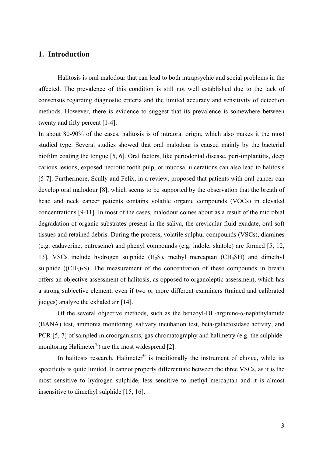# **1. Introduction**

Halitosis is oral malodour that can lead to both intrapsychic and social problems in the affected. The prevalence of this condition is still not well established due to the lack of consensus regarding diagnostic criteria and the limited accuracy and sensitivity of detection methods. However, there is evidence to suggest that its prevalence is somewhere between twenty and fifty percent [1-4].

In about 80-90% of the cases, halitosis is of intraoral origin, which also makes it the most studied type. Several studies showed that oral malodour is caused mainly by the bacterial biofilm coating the tongue [5, 6]. Oral factors, like periodontal disease, peri-implantitis, deep carious lesions, exposed necrotic tooth pulp, or mucosal ulcerations can also lead to halitosis [5-7]. Furthermore, Scully and Felix, in a review, proposed that patients with oral cancer can develop oral malodour [8], which seems to be supported by the observation that the breath of head and neck cancer patients contains volatile organic compounds (VOCs) in elevated concentrations [9-11]. In most of the cases, malodour comes about as a result of the microbial degradation of organic substrates present in the saliva, the crevicular fluid exudate, oral soft tissues and retained debris. During the process, volatile sulphur compounds (VSCs), diamines (e.g. cadaverine, putrescine) and phenyl compounds (e.g. indole, skatole) are formed [5, 12, 13]. VSCs include hydrogen sulphide  $(H_2S)$ , methyl mercaptan  $(CH_3SH)$  and dimethyl sulphide  $((CH<sub>3</sub>)<sub>2</sub>S)$ . The measurement of the concentration of these compounds in breath offers an objective assessment of halitosis, as opposed to organoleptic assessment, which has a strong subjective element, even if two or more different examiners (trained and calibrated judges) analyze the exhaled air [14].

Of the several objective methods, such as the benzoyl-DL-arginine-α-naphthylamide (BANA) test, ammonia monitoring, salivary incubation test, beta-galactosidase activity, and PCR [5, 7] of sampled microorganisms, gas chromatography and halimetry (e.g. the sulphidemonitoring Halimeter®) are the most widespread [2].

In halitosis research, Halimeter<sup>®</sup> is traditionally the instrument of choice, while its specificity is quite limited. It cannot properly differentiate between the three VSCs, as it is the most sensitive to hydrogen sulphide, less sensitive to methyl mercaptan and it is almost insensitive to dimethyl sulphide [15, 16].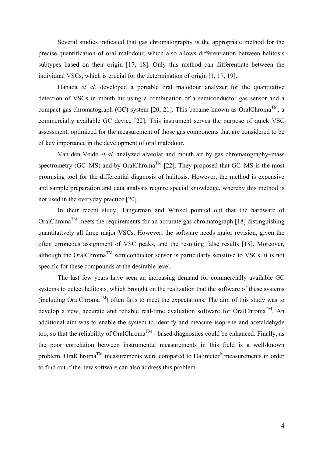Several studies indicated that gas chromatography is the appropriate method for the precise quantification of oral malodour, which also allows differentiation between halitosis subtypes based on their origin [17, 18]. Only this method can differentiate between the individual VSCs, which is crucial for the determination of origin [1, 17, 19].

Hanada *et al.* developed a portable oral malodour analyzer for the quantitative detection of VSCs in mouth air using a combination of a semiconductor gas sensor and a compact gas chromatograph (GC) system [20, 21]. This became known as OralChroma<sup>TM</sup>, a commercially available GC device [22]. This instrument serves the purpose of quick VSC assessment, optimized for the measurement of those gas components that are considered to be of key importance in the development of oral malodour.

Van den Velde *et al.* analyzed alveolar and mouth air by gas chromatography–mass spectrometry (GC–MS) and by OralChroma<sup>TM</sup> [22]. They proposed that GC–MS is the most promising tool for the differential diagnosis of halitosis. However, the method is expensive and sample preparation and data analysis require special knowledge, whereby this method is not used in the everyday practice [20].

In their recent study, Tangerman and Winkel pointed out that the hardware of OralChroma<sup>TM</sup> meets the requirements for an accurate gas chromatograph [18] distinguishing quantitatively all three major VSCs. However, the software needs major revision, given the often erroneous assignment of VSC peaks, and the resulting false results [18]. Moreover, although the OralChroma<sup>TM</sup> semiconductor sensor is particularly sensitive to VSCs, it is not specific for these compounds at the desirable level.

The last few years have seen an increasing demand for commercially available GC systems to detect halitosis, which brought on the realization that the software of these systems (including OralChroma<sup>TM</sup>) often fails to meet the expectations. The aim of this study was to develop a new, accurate and reliable real-time evaluation software for OralChroma<sup>TM</sup>. An additional aim was to enable the system to identify and measure isoprene and acetaldehyde too, so that the reliability of OralChroma<sup>TM</sup> - based diagnostics could be enhanced. Finally, as the poor correlation between instrumental measurements in this field is a well-known problem, OralChromaTM measurements were compared to Halimeter® measurements in order to find out if the new software can also address this problem.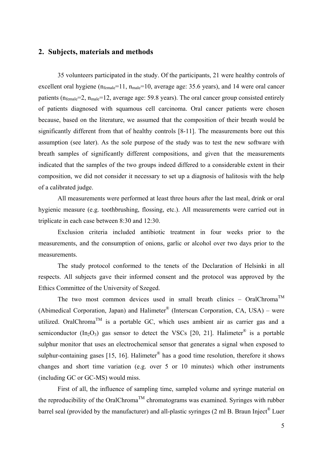## **2. Subjects, materials and methods**

35 volunteers participated in the study. Of the participants, 21 were healthy controls of excellent oral hygiene  $(n_{female}=11, n_{male}=10, \text{ average age: } 35.6 \text{ years})$ , and 14 were oral cancer patients  $(n_{female}=2, n_{male}=12, average age: 59.8 years)$ . The oral cancer group consisted entirely of patients diagnosed with squamous cell carcinoma. Oral cancer patients were chosen because, based on the literature, we assumed that the composition of their breath would be significantly different from that of healthy controls [8-11]. The measurements bore out this assumption (see later). As the sole purpose of the study was to test the new software with breath samples of significantly different compositions, and given that the measurements indicated that the samples of the two groups indeed differed to a considerable extent in their composition, we did not consider it necessary to set up a diagnosis of halitosis with the help of a calibrated judge.

All measurements were performed at least three hours after the last meal, drink or oral hygienic measure (e.g. toothbrushing, flossing, etc.). All measurements were carried out in triplicate in each case between 8:30 and 12:30.

Exclusion criteria included antibiotic treatment in four weeks prior to the measurements, and the consumption of onions, garlic or alcohol over two days prior to the measurements.

The study protocol conformed to the tenets of the Declaration of Helsinki in all respects. All subjects gave their informed consent and the protocol was approved by the Ethics Committee of the University of Szeged.

The two most common devices used in small breath clinics – OralChroma<sup>TM</sup> (Abimedical Corporation, Japan) and Halimeter<sup>®</sup> (Interscan Corporation, CA, USA) – were utilized. OralChroma<sup>TM</sup> is a portable GC, which uses ambient air as carrier gas and a semiconductor  $(In_2O_3)$  gas sensor to detect the VSCs [20, 21]. Halimeter<sup>®</sup> is a portable sulphur monitor that uses an electrochemical sensor that generates a signal when exposed to sulphur-containing gases [15, 16]. Halimeter<sup>®</sup> has a good time resolution, therefore it shows changes and short time variation (e.g. over 5 or 10 minutes) which other instruments (including GC or GC-MS) would miss.

First of all, the influence of sampling time, sampled volume and syringe material on the reproducibility of the OralChroma<sup>TM</sup> chromatograms was examined. Syringes with rubber barrel seal (provided by the manufacturer) and all-plastic syringes (2 ml B. Braun Inject® Luer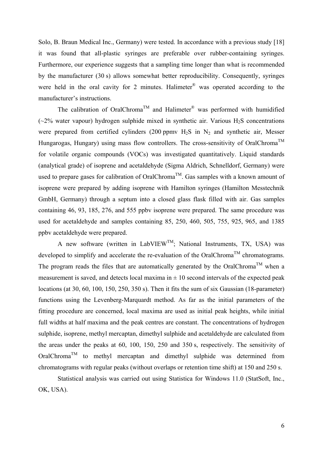Solo, B. Braun Medical Inc., Germany) were tested. In accordance with a previous study [18] it was found that all-plastic syringes are preferable over rubber-containing syringes. Furthermore, our experience suggests that a sampling time longer than what is recommended by the manufacturer (30 s) allows somewhat better reproducibility. Consequently, syringes were held in the oral cavity for 2 minutes. Halimeter<sup>®</sup> was operated according to the manufacturer's instructions.

The calibration of OralChroma<sup>TM</sup> and Halimeter<sup>®</sup> was performed with humidified  $(\sim 2\%$  water vapour) hydrogen sulphide mixed in synthetic air. Various H<sub>2</sub>S concentrations were prepared from certified cylinders (200 ppmv  $H_2S$  in  $N_2$  and synthetic air, Messer Hungarogas, Hungary) using mass flow controllers. The cross-sensitivity of OralChroma<sup>TM</sup> for volatile organic compounds (VOCs) was investigated quantitatively. Liquid standards (analytical grade) of isoprene and acetaldehyde (Sigma Aldrich, Schnelldorf, Germany) were used to prepare gases for calibration of OralChroma<sup>TM</sup>. Gas samples with a known amount of isoprene were prepared by adding isoprene with Hamilton syringes (Hamilton Messtechnik GmbH, Germany) through a septum into a closed glass flask filled with air. Gas samples containing 46, 93, 185, 276, and 555 ppbv isoprene were prepared. The same procedure was used for acetaldehyde and samples containing 85, 250, 460, 505, 755, 925, 965, and 1385 ppbv acetaldehyde were prepared.

A new software (written in LabVIEW<sup>TM</sup>; National Instruments, TX, USA) was developed to simplify and accelerate the re-evaluation of the OralChroma<sup>TM</sup> chromatograms. The program reads the files that are automatically generated by the OralChroma<sup>TM</sup> when a measurement is saved, and detects local maxima in  $\pm 10$  second intervals of the expected peak locations (at 30, 60, 100, 150, 250, 350 s). Then it fits the sum of six Gaussian (18-parameter) functions using the Levenberg-Marquardt method. As far as the initial parameters of the fitting procedure are concerned, local maxima are used as initial peak heights, while initial full widths at half maxima and the peak centres are constant. The concentrations of hydrogen sulphide, isoprene, methyl mercaptan, dimethyl sulphide and acetaldehyde are calculated from the areas under the peaks at 60, 100, 150, 250 and 350 s, respectively. The sensitivity of OralChromaTM to methyl mercaptan and dimethyl sulphide was determined from chromatograms with regular peaks (without overlaps or retention time shift) at 150 and 250 s.

Statistical analysis was carried out using Statistica for Windows 11.0 (StatSoft, Inc., OK, USA).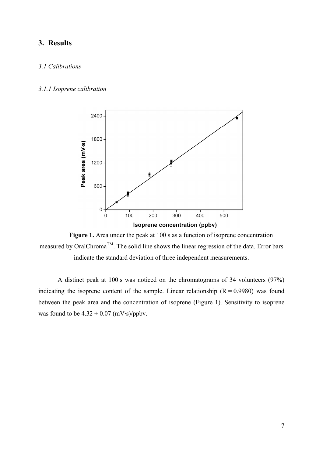# **3. Results**

## *3.1 Calibrations*

#### *3.1.1 Isoprene calibration*





A distinct peak at 100 s was noticed on the chromatograms of 34 volunteers (97%) indicating the isoprene content of the sample. Linear relationship  $(R = 0.9980)$  was found between the peak area and the concentration of isoprene (Figure 1). Sensitivity to isoprene was found to be  $4.32 \pm 0.07$  (mV·s)/ppbv.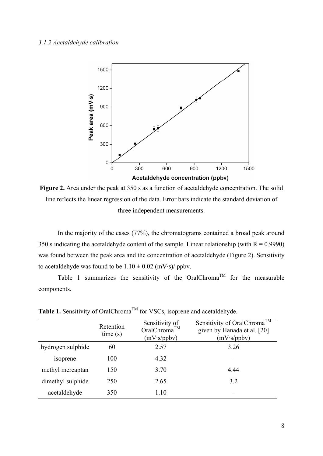

**Figure 2.** Area under the peak at 350 s as a function of acetaldehyde concentration. The solid line reflects the linear regression of the data. Error bars indicate the standard deviation of three independent measurements.

In the majority of the cases (77%), the chromatograms contained a broad peak around 350 s indicating the acetaldehyde content of the sample. Linear relationship (with  $R = 0.9990$ ) was found between the peak area and the concentration of acetaldehyde (Figure 2). Sensitivity to acetaldehyde was found to be  $1.10 \pm 0.02$  (mV·s)/ ppbv.

Table 1 summarizes the sensitivity of the OralChroma<sup>TM</sup> for the measurable components.

|                   | Retention<br>time(s) | Sensitivity of<br>OralChroma™<br>(mV·s/ppbv) | Sensitivity of OralChroma <sup>TM</sup><br>given by Hanada et al. [20]<br>(mV·s/ppbv) |
|-------------------|----------------------|----------------------------------------------|---------------------------------------------------------------------------------------|
| hydrogen sulphide | 60                   | 2.57                                         | 3.26                                                                                  |
| isoprene          | 100                  | 4.32                                         |                                                                                       |
| methyl mercaptan  | 150                  | 3.70                                         | 4.44                                                                                  |
| dimethyl sulphide | 250                  | 2.65                                         | 3.2                                                                                   |
| acetaldehyde      | 350                  | 1.10                                         |                                                                                       |

**Table 1.** Sensitivity of OralChroma<sup>TM</sup> for VSCs, isoprene and acetaldehyde.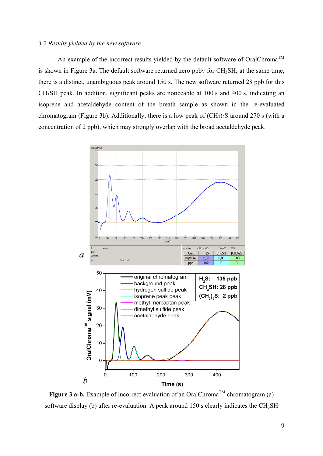#### *3.2 Results yielded by the new software*

An example of the incorrect results yielded by the default software of OralChroma<sup>TM</sup> is shown in Figure 3a. The default software returned zero ppby for  $CH<sub>3</sub>SH$ ; at the same time, there is a distinct, unambiguous peak around 150 s. The new software returned 28 ppb for this CH3SH peak. In addition, significant peaks are noticeable at 100 s and 400 s, indicating an isoprene and acetaldehyde content of the breath sample as shown in the re-evaluated chromatogram (Figure 3b). Additionally, there is a low peak of  $(CH_3)_2S$  around 270 s (with a concentration of 2 ppb), which may strongly overlap with the broad acetaldehyde peak.



**Figure 3 a-b.** Example of incorrect evaluation of an OralChroma<sup>TM</sup> chromatogram (a) software display (b) after re-evaluation. A peak around 150 s clearly indicates the  $CH<sub>3</sub>SH$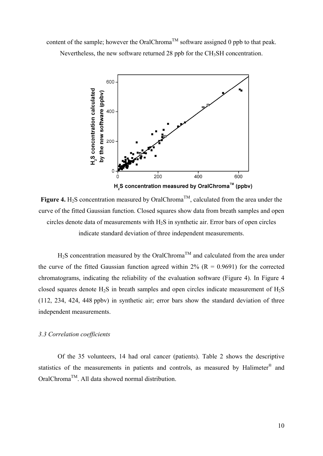content of the sample; however the OralChroma<sup>TM</sup> software assigned 0 ppb to that peak. Nevertheless, the new software returned 28 ppb for the CH<sub>3</sub>SH concentration.



H<sub>2</sub>S concentration measured by OralChroma<sup>™</sup> (ppbv)

**Figure 4.** H<sub>2</sub>S concentration measured by OralChroma<sup>TM</sup>, calculated from the area under the curve of the fitted Gaussian function. Closed squares show data from breath samples and open circles denote data of measurements with H2S in synthetic air. Error bars of open circles indicate standard deviation of three independent measurements.

 $H_2S$  concentration measured by the OralChroma<sup>TM</sup> and calculated from the area under the curve of the fitted Gaussian function agreed within  $2\%$  (R = 0.9691) for the corrected chromatograms, indicating the reliability of the evaluation software (Figure 4). In Figure 4 closed squares denote  $H_2S$  in breath samples and open circles indicate measurement of  $H_2S$ (112, 234, 424, 448 ppbv) in synthetic air; error bars show the standard deviation of three independent measurements.

#### *3.3 Correlation coefficients*

Of the 35 volunteers, 14 had oral cancer (patients). Table 2 shows the descriptive statistics of the measurements in patients and controls, as measured by Halimeter<sup>®</sup> and OralChromaTM. All data showed normal distribution.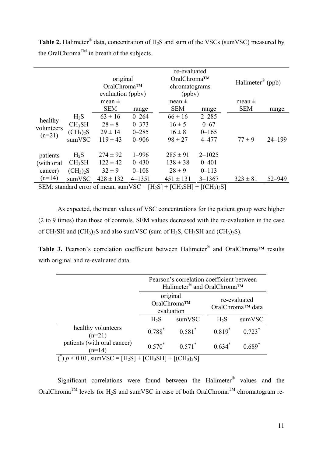Table 2. Halimeter<sup>®</sup> data, concentration of H<sub>2</sub>S and sum of the VSCs (sumVSC) measured by the OralChroma<sup>TM</sup> in breath of the subjects.

|                                                                             |                                   | original<br>OralChroma™<br>evaluation (ppbv) |             |               | re-evaluated<br>OralChroma™<br>chromatograms<br>(ppbv) |              | Halimeter <sup>®</sup> (ppb) |
|-----------------------------------------------------------------------------|-----------------------------------|----------------------------------------------|-------------|---------------|--------------------------------------------------------|--------------|------------------------------|
|                                                                             |                                   |                                              |             |               |                                                        |              |                              |
|                                                                             |                                   |                                              |             | mean $\pm$    |                                                        |              |                              |
|                                                                             |                                   | mean $\pm$                                   |             |               |                                                        | mean $\pm$   |                              |
|                                                                             |                                   | <b>SEM</b>                                   | range       | <b>SEM</b>    | range                                                  | <b>SEM</b>   | range                        |
| healthy                                                                     | $H_2S$                            | $63 \pm 16$                                  | $0 - 264$   | $66 \pm 16$   | $2 - 285$                                              |              |                              |
| volunteers                                                                  | CH <sub>3</sub> SH                | $28 \pm 8$                                   | $0 - 373$   | $16 \pm 5$    | $0 - 67$                                               |              |                              |
|                                                                             | (CH <sub>3</sub> ) <sub>2</sub> S | $29 \pm 14$                                  | $0 - 285$   | $16 \pm 8$    | $0 - 165$                                              |              |                              |
| $(n=21)$<br>sumVSC                                                          | $119 \pm 43$                      | $0 - 906$                                    | $98 \pm 27$ | $4 - 477$     | $77 \pm 9$                                             | $24 - 199$   |                              |
| patients                                                                    | $H_2S$                            | $274 \pm 92$                                 | $1 - 996$   | $285 \pm 91$  | $2 - 1025$                                             |              |                              |
| (with oral)                                                                 | CH <sub>3</sub> SH                | $122 \pm 42$                                 | $0 - 430$   | $138 \pm 38$  | $0 - 401$                                              |              |                              |
| cancer)                                                                     | $(CH_3)_2S$                       | $32 \pm 9$                                   | $0 - 108$   | $28 \pm 9$    | $0 - 113$                                              |              |                              |
| $(n=14)$                                                                    | sumVSC                            | $428 \pm 132$                                | $4 - 1351$  | $451 \pm 131$ | $3 - 1367$                                             | $323 \pm 81$ | 52-949                       |
| SEM: standard error of mean, sumVSC = $[H_2S]$ + $[CH_3SH]$ + $[(CH_3)_2S]$ |                                   |                                              |             |               |                                                        |              |                              |

As expected, the mean values of VSC concentrations for the patient group were higher (2 to 9 times) than those of controls. SEM values decreased with the re-evaluation in the case of  $CH_3SH$  and  $(CH_3)_2S$  and also sum VSC (sum of  $H_2S$ ,  $CH_3SH$  and  $(CH_3)_2S$ ).

**Table 3.** Pearson's correlation coefficient between Halimeter® and OralChroma™ results with original and re-evaluated data.

|                                                                                                       | Pearson's correlation coefficient between<br>Halimeter <sup>®</sup> and OralChroma™ |           |                                  |           |
|-------------------------------------------------------------------------------------------------------|-------------------------------------------------------------------------------------|-----------|----------------------------------|-----------|
|                                                                                                       | original<br>OralChroma™<br>evaluation                                               |           | re-evaluated<br>OralChroma™ data |           |
|                                                                                                       | $H_2S$                                                                              | sumVSC    | $H_2S$                           | sumVSC    |
| healthy volunteers<br>$(n=21)$                                                                        | $0.788^*$                                                                           | $0.581^*$ | $0.819^*$                        | $0.723*$  |
| patients (with oral cancer)<br>$(n=14)$                                                               | $0.570^*$                                                                           | $0.571^*$ | $0.634^{*}$                      | $0.689^*$ |
| $p < 0.01$ , sumVSC = [H <sub>2</sub> S] + [CH <sub>3</sub> SH] + [(CH <sub>3</sub> ) <sub>2</sub> S] |                                                                                     |           |                                  |           |

Significant correlations were found between the Halimeter® values and the OralChroma<sup>TM</sup> levels for H<sub>2</sub>S and sumVSC in case of both OralChroma<sup>TM</sup> chromatogram re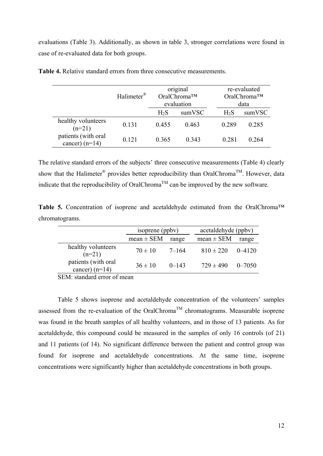evaluations (Table 3). Additionally, as shown in table 3, stronger correlations were found in case of re-evaluated data for both groups.

|                                         | Halimeter <sup>®</sup> | original<br>OralChroma™<br>evaluation |        |        | re-evaluated<br>OralChroma™<br>data |  |
|-----------------------------------------|------------------------|---------------------------------------|--------|--------|-------------------------------------|--|
|                                         |                        | $H_2S$                                | sumVSC | $H_2S$ | sumVSC                              |  |
| healthy volunteers<br>$(n=21)$          | 0.131                  | 0.455                                 | 0.463  | 0.289  | 0.285                               |  |
| patients (with oral<br>cancer) $(n=14)$ | 0.121                  | 0.365                                 | 0.343  | 0.281  | 0 264                               |  |

**Table 4.** Relative standard errors from three consecutive measurements.

The relative standard errors of the subjects' three consecutive measurements (Table 4) clearly show that the Halimeter® provides better reproducibility than OralChroma<sup>TM</sup>. However, data indicate that the reproducibility of OralChroma<sup>TM</sup> can be improved by the new software.

**Table 5.** Concentration of isoprene and acetaldehyde estimated from the OralChroma™ chromatograms.

|                                         | isoprene (ppbv) |           | acetaldehyde (ppbv) |            |  |
|-----------------------------------------|-----------------|-----------|---------------------|------------|--|
|                                         | $mean \pm SEM$  | range     | $mean \pm SEM$      | range      |  |
| healthy volunteers<br>$(n=21)$          | $70 \pm 10$     | 7–164     | $810 \pm 220$       | $0 - 4120$ |  |
| patients (with oral<br>cancer) $(n=14)$ | $36 \pm 10$     | $0 - 143$ | $729 \pm 490$       | $0 - 7050$ |  |
| $C\Gamma M \rightarrow 11$              |                 |           |                     |            |  |

SEM: standard error of mean

Table 5 shows isoprene and acetaldehyde concentration of the volunteers' samples assessed from the re-evaluation of the OralChroma<sup>TM</sup> chromatograms. Measurable isoprene was found in the breath samples of all healthy volunteers, and in those of 13 patients. As for acetaldehyde, this compound could be measured in the samples of only 16 controls (of 21) and 11 patients (of 14). No significant difference between the patient and control group was found for isoprene and acetaldehyde concentrations. At the same time, isoprene concentrations were significantly higher than acetaldehyde concentrations in both groups.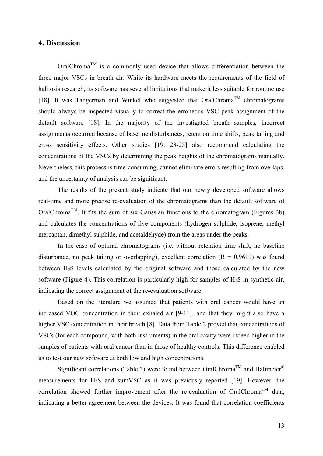# **4. Discussion**

 $OralChroma<sup>TM</sup>$  is a commonly used device that allows differentiation between the three major VSCs in breath air. While its hardware meets the requirements of the field of halitosis research, its software has several limitations that make it less suitable for routine use [18]. It was Tangerman and Winkel who suggested that OralChroma<sup>TM</sup> chromatograms should always be inspected visually to correct the erroneous VSC peak assignment of the default software [18]. In the majority of the investigated breath samples, incorrect assignments occurred because of baseline disturbances, retention time shifts, peak tailing and cross sensitivity effects. Other studies [19, 23-25] also recommend calculating the concentrations of the VSCs by determining the peak heights of the chromatograms manually. Nevertheless, this process is time-consuming, cannot eliminate errors resulting from overlaps, and the uncertainty of analysis can be significant.

The results of the present study indicate that our newly developed software allows real-time and more precise re-evaluation of the chromatograms than the default software of OralChroma<sup>TM</sup>. It fits the sum of six Gaussian functions to the chromatogram (Figures 3b) and calculates the concentrations of five components (hydrogen sulphide, isoprene, methyl mercaptan, dimethyl sulphide, and acetaldehyde) from the areas under the peaks.

In the case of optimal chromatograms (i.e. without retention time shift, no baseline disturbance, no peak tailing or overlapping), excellent correlation  $(R = 0.9619)$  was found between H2S levels calculated by the original software and those calculated by the new software (Figure 4). This correlation is particularly high for samples of  $H_2S$  in synthetic air, indicating the correct assignment of the re-evaluation software.

Based on the literature we assumed that patients with oral cancer would have an increased VOC concentration in their exhaled air [9-11], and that they might also have a higher VSC concentration in their breath [8]. Data from Table 2 proved that concentrations of VSCs (for each compound, with both instruments) in the oral cavity were indeed higher in the samples of patients with oral cancer than in those of healthy controls. This difference enabled us to test our new software at both low and high concentrations.

Significant correlations (Table 3) were found between OralChroma<sup>TM</sup> and Halimeter<sup>®</sup> measurements for  $H_2S$  and sumVSC as it was previously reported [19]. However, the correlation showed further improvement after the re-evaluation of OralChroma<sup>TM</sup> data, indicating a better agreement between the devices. It was found that correlation coefficients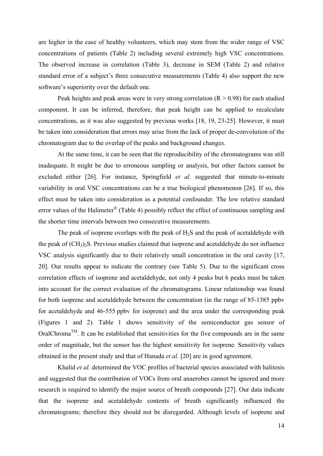are higher in the case of healthy volunteers, which may stem from the wider range of VSC concentrations of patients (Table 2) including several extremely high VSC concentrations. The observed increase in correlation (Table 3), decrease in SEM (Table 2) and relative standard error of a subject's three consecutive measurements (Table 4) also support the new software's superiority over the default one.

Peak heights and peak areas were in very strong correlation  $(R > 0.98)$  for each studied component. It can be inferred, therefore, that peak height can be applied to recalculate concentrations, as it was also suggested by previous works [18, 19, 23-25]. However, it must be taken into consideration that errors may arise from the lack of proper de-convolution of the chromatogram due to the overlap of the peaks and background changes.

At the same time, it can be seen that the reproducibility of the chromatograms was still inadequate. It might be due to erroneous sampling or analysis, but other factors cannot be excluded either [26]. For instance, Springfield *et al.* suggested that minute-to-minute variability in oral VSC concentrations can be a true biological phenomenon [26]*.* If so, this effect must be taken into consideration as a potential confounder. The low relative standard error values of the Halimeter® (Table 4) possibly reflect the effect of continuous sampling and the shorter time intervals between two consecutive measurements.

The peak of isoprene overlaps with the peak of  $H_2S$  and the peak of acetaldehyde with the peak of  $(CH_3)_2S$ . Previous studies claimed that isoprene and acetaldehyde do not influence VSC analysis significantly due to their relatively small concentration in the oral cavity [17, 20]. Our results appear to indicate the contrary (see Table 5). Due to the significant cross correlation effects of isoprene and acetaldehyde, not only 4 peaks but 6 peaks must be taken into account for the correct evaluation of the chromatograms. Linear relationship was found for both isoprene and acetaldehyde between the concentration (in the range of 85-1385 ppbv for acetaldehyde and 46-555 ppbv for isoprene) and the area under the corresponding peak (Figures 1 and 2). Table 1 shows sensitivity of the semiconductor gas sensor of  $OralChroma<sup>TM</sup>$ . It can be established that sensitivities for the five compounds are in the same order of magnitude, but the sensor has the highest sensitivity for isoprene. Sensitivity values obtained in the present study and that of Hanada *et al.* [20] are in good agreement.

Khalid *et al.* determined the VOC profiles of bacterial species associated with halitosis and suggested that the contribution of VOCs from oral anaerobes cannot be ignored and more research is required to identify the major source of breath compounds [27]. Our data indicate that the isoprene and acetaldehyde contents of breath significantly influenced the chromatograms; therefore they should not be disregarded. Although levels of isoprene and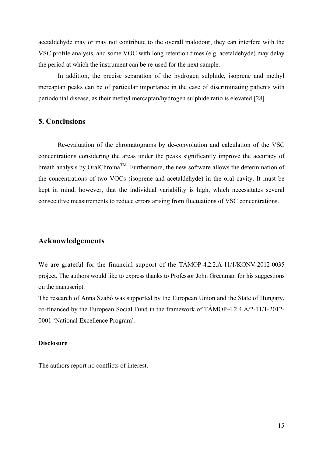acetaldehyde may or may not contribute to the overall malodour, they can interfere with the VSC profile analysis, and some VOC with long retention times (e.g. acetaldehyde) may delay the period at which the instrument can be re-used for the next sample.

In addition, the precise separation of the hydrogen sulphide, isoprene and methyl mercaptan peaks can be of particular importance in the case of discriminating patients with periodontal disease, as their methyl mercaptan/hydrogen sulphide ratio is elevated [28].

## **5. Conclusions**

Re-evaluation of the chromatograms by de-convolution and calculation of the VSC concentrations considering the areas under the peaks significantly improve the accuracy of breath analysis by OralChroma<sup>TM</sup>. Furthermore, the new software allows the determination of the concentrations of two VOCs (isoprene and acetaldehyde) in the oral cavity. It must be kept in mind, however, that the individual variability is high, which necessitates several consecutive measurements to reduce errors arising from fluctuations of VSC concentrations.

# **Acknowledgements**

We are grateful for the financial support of the TÁMOP-4.2.2.A-11/1/KONV-2012-0035 project. The authors would like to express thanks to Professor John Greenman for his suggestions on the manuscript.

The research of Anna Szabó was supported by the European Union and the State of Hungary, co-financed by the European Social Fund in the framework of TÁMOP-4.2.4.A/2-11/1-2012- 0001 'National Excellence Program'.

## **Disclosure**

The authors report no conflicts of interest.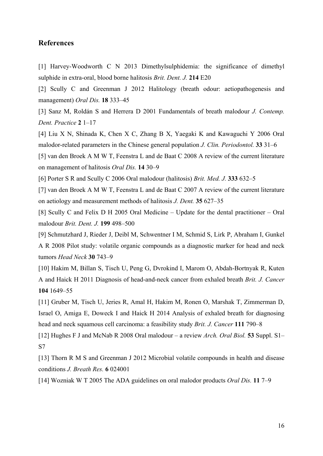## **References**

[1] Harvey-Woodworth C N 2013 Dimethylsulphidemia: the significance of dimethyl sulphide in extra-oral, blood borne halitosis *Brit. Dent. J.* **214** E20

[2] Scully C and Greenman J 2012 Halitology (breath odour: aetiopathogenesis and management) *Oral Dis.* **18** 333–45

[3] Sanz M, Roldán S and Herrera D 2001 Fundamentals of breath malodour *J. Contemp. Dent. Practice* **2** 1–17

[4] Liu X N, Shinada K, Chen X C, Zhang B X, Yaegaki K and Kawaguchi Y 2006 Oral malodor-related parameters in the Chinese general population *J. Clin. Periodontol.* **33** 31–6

[5] van den Broek A M W T, Feenstra L and de Baat C 2008 A review of the current literature on management of halitosis *Oral Dis.* **14** 30–9

[6] Porter S R and Scully C 2006 Oral malodour (halitosis) *Brit. Med. J.* **333** 632–5

[7] van den Broek A M W T, Feenstra L and de Baat C 2007 A review of the current literature on aetiology and measurement methods of halitosis *J. Dent.* **35** 627–35

[8] Scully C and Felix D H 2005 Oral Medicine – Update for the dental practitioner – Oral malodour *Brit. Dent. J.* **199** 498–500

[9] Schmutzhard J, Rieder J, Deibl M, Schwentner I M, Schmid S, Lirk P, Abraham I, Gunkel A R 2008 Pilot study: volatile organic compounds as a diagnostic marker for head and neck tumors *Head Neck* **30** 743–9

[10] Hakim M, Billan S, Tisch U, Peng G, Dvrokind I, Marom O, Abdah-Bortnyak R, Kuten A and Haick H 2011 Diagnosis of head-and-neck cancer from exhaled breath *Brit. J. Cancer* **104** 1649–55

[11] Gruber M, Tisch U, Jeries R, Amal H, Hakim M, Ronen O, Marshak T, Zimmerman D, Israel O, Amiga E, Doweck I and Haick H 2014 Analysis of exhaled breath for diagnosing head and neck squamous cell carcinoma: a feasibility study *Brit. J. Cancer* **111** 790–8

[12] Hughes F J and McNab R 2008 Oral malodour – a review *Arch. Oral Biol.* **53** Suppl. S1– S7

[13] Thorn R M S and Greenman J 2012 Microbial volatile compounds in health and disease conditions *J. Breath Res.* **6** 024001

[14] Wozniak W T 2005 The ADA guidelines on oral malodor products *Oral Dis.* **11** 7–9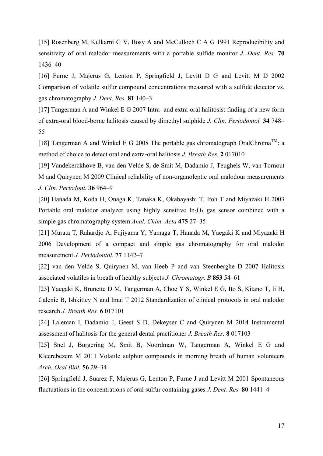[15] Rosenberg M, Kulkarni G V, Bosy A and McCulloch C A G 1991 Reproducibility and sensitivity of oral malodor measurements with a portable sulfide monitor *J. Dent. Res.* **70**  1436–40

[16] Furne J, Majerus G, Lenton P, Springfield J, Levitt D G and Levitt M D 2002 Comparison of volatile sulfur compound concentrations measured with a sulfide detector vs. gas chromatography *J. Dent. Res.* **81** 140–3

[17] Tangerman A and Winkel E G 2007 Intra- and extra-oral halitosis: finding of a new form of extra-oral blood-borne halitosis caused by dimethyl sulphide *J. Clin. Periodontol.* **34** 748– 55

[18] Tangerman A and Winkel E G 2008 The portable gas chromatograph OralChroma<sup>TM</sup>: a method of choice to detect oral and extra-oral halitosis *J. Breath Res.* **2** 017010

[19] Vandekerckhove B, van den Velde S, de Smit M, Dadamio J, Teughels W, van Tornout M and Quirynen M 2009 Clinical reliability of non-organoleptic oral malodour measurements *J. Clin. Periodont.* **36** 964–9

[20] Hanada M, Koda H, Onaga K, Tanaka K, Okabayashi T, Itoh T and Miyazaki H 2003 Portable oral malodor analyzer using highly sensitive  $In_2O_3$  gas sensor combined with a simple gas chromatography system *Anal. Chim. Acta* **475** 27–35

[21] Murata T, Rahardjo A, Fujiyama Y, Yamaga T, Hanada M, Yaegaki K and Miyazaki H 2006 Development of a compact and simple gas chromatography for oral malodor measurement *J. Periodontol.* **77** 1142–7

[22] van den Velde S, Quirynen M, van Heeb P and van Steenberghe D 2007 Halitosis associated volatiles in breath of healthy subjects *J. Chromatogr. B* **853** 54–61

[23] Yaegaki K, Brunette D M, Tangerman A, Choe Y S, Winkel E G, Ito S, Kitano T, Ii H, Calenic B, Ishkitiev N and Imai T 2012 Standardization of clinical protocols in oral malodor research *J. Breath Res.* **6** 017101

[24] Laleman I, Dadamio J, Geest S D, Dekeyser C and Quirynen M 2014 Instrumental assessment of halitosis for the general dental practitioner *J. Breath Res.* **8** 017103

[25] Snel J, Burgering M, Smit B, Noordman W, Tangerman A, Winkel E G and Kleerebezem M 2011 Volatile sulphur compounds in morning breath of human volunteers *Arch. Oral Biol.* **56** 29–34

[26] Springfield J, Suarez F, Majerus G, Lenton P, Furne J and Levitt M 2001 Spontaneous fluctuations in the concentrations of oral sulfur containing gases *J. Dent. Res.* **80** 1441–4